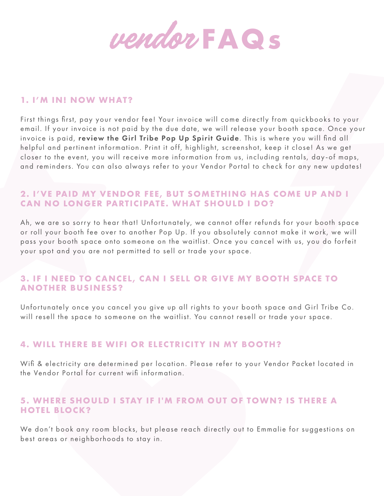

#### **1. I'M IN! NOW WHAT?**

First things first, pay your vendor fee! Your invoice will come directly from quickbooks to your email. If your invoice is not paid by the due date, we will release your booth space. Once your invoice is paid, review the Girl Tribe Pop Up Spirit Guide. This is where you will find all helpful and pertinent information. Print it off, highlight, screenshot, keep it close! As we get closer to the event, you will receive more information from us, including rentals, day-of maps, and reminders. You can also always refer to your Vendor Portal to check for any new updates!

# **2. I'VE PAID MY VENDOR FEE, BUT SOMETHING HAS COME UP AND I CAN NO LONGER PARTICIPATE. WHAT SHOULD I DO?**

Ah, we are so sorry to hear that! Unfortunately, we cannot offer refunds for your booth space or roll your booth fee over to another Pop Up. If you absolutely cannot make it work, we will pass your booth space onto someone on the waitlist. Once you cancel with us, you do forfeit your spot and you are not permitted to sell or trade your space.

# **3. IF I NEED TO CANCEL, CAN I SELL OR GIVE MY BOOTH SPACE TO ANOTHER BUSINESS?**

Unfortunately once you cancel you give up all rights to your booth space and Girl Tribe Co. will resell the space to someone on the waitlist. You cannot resell or trade your space.

# **4. WILL THERE BE WIFI OR ELECTRICITY IN MY BOOTH?**

Wifi & electricity are determined per location. Please refer to your Vendor Packet located in the Vendor Portal for current wifi information.

## **5. WHERE SHOULD I STAY IF I'M FROM OUT OF TOWN? IS THERE A HOTEL BLOCK?**

We don't book any room blocks, but please reach directly out to Emmalie for suggestions on best areas or neighborhoods to stay in.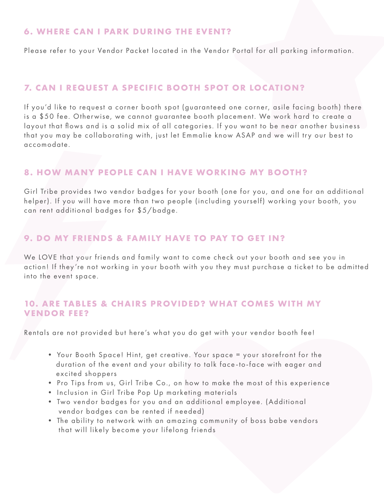#### **6. WHERE CAN I PARK DURING THE EVENT?**

Please refer to your Vendor Packet located in the Vendor Portal for all parking information.

## **7. CAN I REQUEST A SPECIFIC BOOTH SPOT OR LOCATION?**

If you'd like to request a corner booth spot (guaranteed one corner, asile facing booth) there is a \$50 fee. Otherwise, we cannot guarantee booth placement. We work hard to create a layout that flows and is a solid mix of all categories. If you want to be near another business that you may be collaborating with, just let Emmalie know ASAP and we will try our best to accomodate.

#### **8. HOW MANY PEOPLE CAN I HAVE WORKING MY BOOTH?**

Girl Tribe provides two vendor badges for your booth (one for you, and one for an additional helper). If you will have more than two people (including yourself) working your booth, you can rent additional badges for \$5/badge.

#### **9. DO MY FRIENDS & FAMILY HAVE TO PAY TO GET IN?**

We LOVE that your friends and family want to come check out your booth and see you in action! If they're not working in your booth with you they must purchase a ticket to be admitted into the event space.

## **10. ARE TABLES & CHAIRS PROVIDED? WHAT COMES WITH MY VENDOR FEE?**

Rentals are not provided but here's what you do get with your vendor booth fee!

- Your Booth Space! Hint, get creative. Your space = your storefront for the duration of the event and your ability to talk face-to-face with eager and excited shoppers
- Pro Tips from us, Girl Tribe Co., on how to make the most of this experience
- Inclusion in Girl Tribe Pop Up marketing materials
- Two vendor badges for you and an additional employee. (Additional vendor badges can be rented if needed)
- The ability to network with an amazing community of boss babe vendors that will likely become your lifelong friends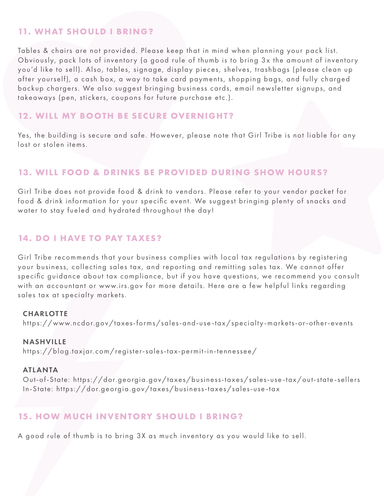## **11. WHAT SHOULD I BRING?**

Tables & chairs are not provided. Please keep that in mind when planning your pack list. Obviously, pack lots of inventory (a good rule of thumb is to bring 3x the amount of inventory you'd like to sell). Also, tables, signage, display pieces, shelves, trashbags (please clean up after yourself), a cash box, a way to take card payments, shopping bags, and fully charged backup chargers. We also suggest bringing business cards, email newsletter signups, and takeaways (pen, stickers, coupons for future purchase etc.).

## **12. WILL MY BOOTH BE SECURE OVERNIGHT?**

Yes, the building is secure and safe. However, please note that Girl Tribe is not liable for any lost or stolen items.

## **13. WILL FOOD & DRINKS BE PROVIDED DURING SHOW HOURS?**

Girl Tribe does not provide food & drink to vendors. Please refer to your vendor packet for food & drink information for your specific event. We suggest bringing plenty of snacks and water to stay fueled and hydrated throughout the day!

#### **14. DO I HAVE TO PAY TAXES?**

Girl Tribe recommends that your business complies with local tax regulations by registering your business, collecting sales tax, and reporting and remitting sales tax. We cannot offer specific guidance about tax compliance, but if you have questions, we recommend you consult with an accountant or www.irs.gov for more details. Here are a few helpful links regarding sales tax at specialty markets.

#### **CHARLOTTE**

https://www.ncdor.gov/taxes-forms/sales-and-use-tax/specialty-markets-or-other-events

#### NASHVILLE

https://blog.taxjar.com/register-sales-tax-permit-in-tennessee/

#### ATLANTA

 Out-of-State: https://dor.georgia.gov/taxes/business-taxes/sales-use-tax/out-state-sellers ln-State: https://dor.georgia.gov/taxes/business-taxes/sales-use-tax

## **15. HOW MUCH INVENTORY SHOULD I BRING?**

A good rule of thumb is to bring 3X as much inventory as you would like to sell.